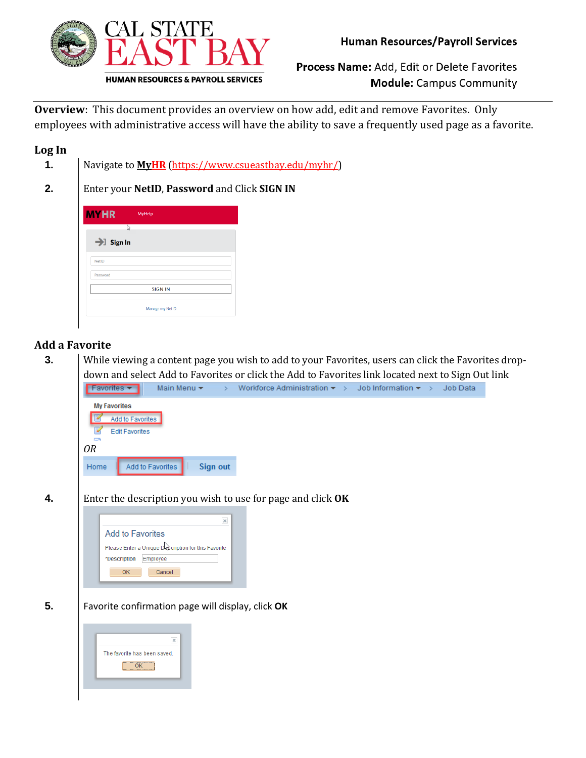

Process Name: Add, Edit or Delete Favorites **Module:** Campus Community

**Overview**: This document provides an overview on how add, edit and remove Favorites. Only employees with administrative access will have the ability to save a frequently used page as a favorite.

# **Log In**

- **1.** Navigate to **<MyHR>** [\(https://www.csueastbay.edu/myhr/\)](https://www.csueastbay.edu/myhr/)
- **2.** Enter your **NetID**, **Password** and Click **SIGN IN**

| <b>MYHR</b>           | MyHelp          |  |
|-----------------------|-----------------|--|
| ß                     |                 |  |
| $\rightarrow$ Sign In |                 |  |
|                       |                 |  |
| <b>NetID</b>          |                 |  |
| Password              |                 |  |
|                       | <b>SIGN IN</b>  |  |
|                       | Manage my NetID |  |

# **Add a Favorite**

**3.** While viewing a content page you wish to add to your Favorites, users can click the Favorites dropdown and select Add to Favorites or click the Add to Favorites link located next to Sign Out link





**5.** Favorite confirmation page will display, click **OK**

| The favorite has been saved. |
|------------------------------|
| -----------<br>---------     |